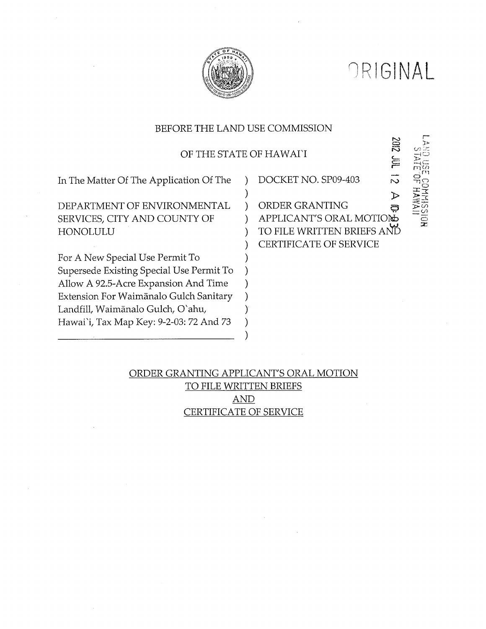

ORIGINAL

ZIDZ

 $\mathbf{E}$ 

## BEFORE THE LAND USE COMMISSION

OF THE STATE OF HAWAIY

 $\mathcal{E}$ 

 $\lambda$ 

 $\lambda$ 

 $\lambda$ 

 $\mathcal{E}$ 

 $\mathcal{E}$ 

In The Matter Of The Application Of The

DEPARTMENT OF ENVIRONMENTAL SERVICES, CITY AND COUNTY OF HONOLULU

For A New Special Use Permit To Supersede Existing Special Use Permit To Allow A 92.5-Acre Expansion And Time Extension For Waimānalo Gulch Sanitary Landfill, Waimānalo Gulch, O'ahu, Hawai'i, Tax Map Key: 9-2-03: 72 And 73

DOCKET NO. SP09-403

চ ORDER GRANTING థ APPLICANT'S ORAL MOTION TO FILE WRITTEN BRIEFS AND CERTIFICATE OF SERVICE

# ORDER GRANTING APPLICANT'S ORAL MOTION TO FILE WRITTEN BRIEFS **AND** CERTIFICATE OF SERVICE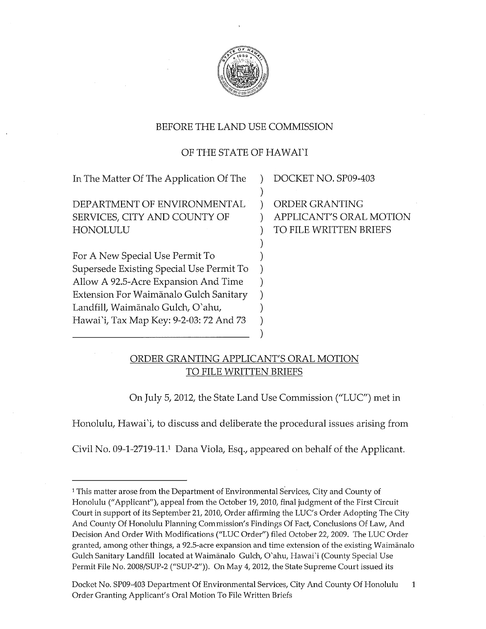

## BEFORE THE LAND USE COMMISSION

## OF THE STATE OF HAWAI'I

| In The Matter Of The Application Of The  | DOCKET NO. SP09-403     |
|------------------------------------------|-------------------------|
|                                          |                         |
| DEPARTMENT OF ENVIRONMENTAL              | ORDER GRANTING          |
| SERVICES, CITY AND COUNTY OF             | APPLICANT'S ORAL MOTION |
| HONOLULU                                 | TO FILE WRITTEN BRIEFS  |
|                                          |                         |
| For A New Special Use Permit To          |                         |
| Supersede Existing Special Use Permit To |                         |
| Allow A 92.5-Acre Expansion And Time     |                         |
| Extension For Waimānalo Gulch Sanitary   |                         |
| Landfill, Waimānalo Gulch, O`ahu,        |                         |
| Hawai`i, Tax Map Key: 9-2-03: 72 And 73  |                         |
|                                          |                         |

## ORDER GRANTING APPLICANT'S ORAL MOTION TO FILE WRITTEN BRIEFS

On July 5, 2012, the State Land Use Commission ("LUC') met in

)

Honolulu, Hawai'i, to discuss and deliberate the procedural issues arising from

Civil No. 09-1-2719-11.1 Dana Viola, Esq., appeared on behalf of the Applicant.

<sup>&</sup>lt;sup>1</sup> This matter arose from the Department of Environmental Services, City and County of Honolulu ("Applicant"), appeal from the October 19, 2010, final judgment of the First Circuit Court in support of its September 21, 2010, Order affirming the LUC's Order Adopting The City And County Of Honolulu Planning Commission's Findings Of Fact, Conclusions Of Law, And Decision And Order With Modifications ("LUC Order") filed October 22, 2009. The LUC Order granted, among other things, a 92.5-acre expansion and time extension of the existing Waimānalo Gulch Sanitary Landfill located at Waimfinalo Gulch, O'ahu, Hawai'i (County Special Use Permit File No. 2008/SUP-2 ("SUP-2")). On May 4, 2012, the State Supreme Court issued its

Docket No. SP09-403 Department Of Environmental Services, City And County Of Honolulu  $\mathbf{1}$ Order Granting Applicant's Oral Motion To File Written Briefs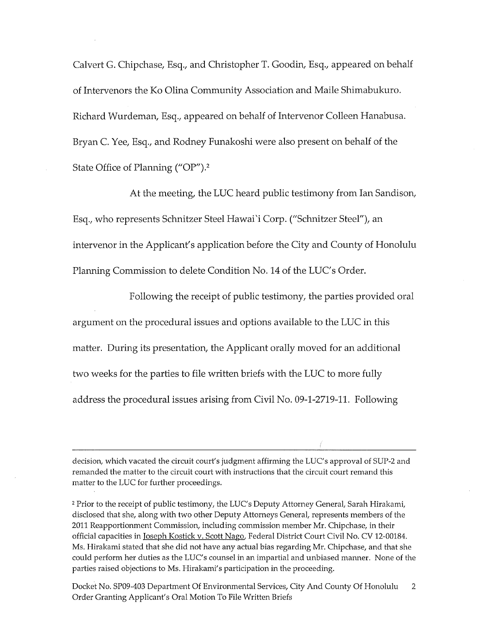Calvert G. Chipchase, Esq., and Christopher T. Goodin, Esq., appeared on behalf of Intervenors the Ko Olina Community Association and Maile Shimabukuro. Richard Wurdeman, Esq., appeared on behalf of Intervenor Colleen Hanabusa. Bryan C. Yee, Esq., and Rodney Funakoshi were also present on behalf of the State Office of Planning ("OP').2

At the meeting, the LUC heard public testimony from Ian Sandison, Esq., who represents Schnitzer Steel Hawai'i Corp. ("Schnitzer Steel"), an intervenor in the Applicant's application before the City and County of Honolulu Planning Commission to delete Condition No. 14 of the LUC's Order.

Following the receipt of public testimony, the parties provided oral argument on the procedural issues and options available to the LUC in this matter. During its presentation, the Applicant orally moved for an additional two weeks for the parties to file written briefs with the LUC to more fully address the procedural issues arising from Civil No. 09-1-2719-11. Following

decision, which vacated the circuit court's judgment affirming the LUC's approval of SUP-2 and remanded the matter to the circuit court with instructions that the circuit court remand this matter to the LUC for further proceedings.

2 Prior to the receipt of public testimony, the LUC's Deputy Attorney General, Sarah Hirakami, disclosed that she, along with two other Deputy Attorneys General, represents members of the 2011 Reapportionment Commission, including commission member Mr. Chipchase, in their official capacities in Joseph Kostick v. Scott Nago, Federal District Court Civil No. CV 12-00184. Ms. Hirakami stated that she did not have any actual bias regarding Mr. Chipchase, and that she could perform her duties as the LUC's counsel in an impartial and unbiased manner. None of the parties raised objections to Ms. Hirakami's participation in the proceeding.

Docket No. SP09-403 Department Of Environmental Services, City And County Of Honolulu  $\overline{2}$ Order Granting Applicant's Oral Motion To File Written Briefs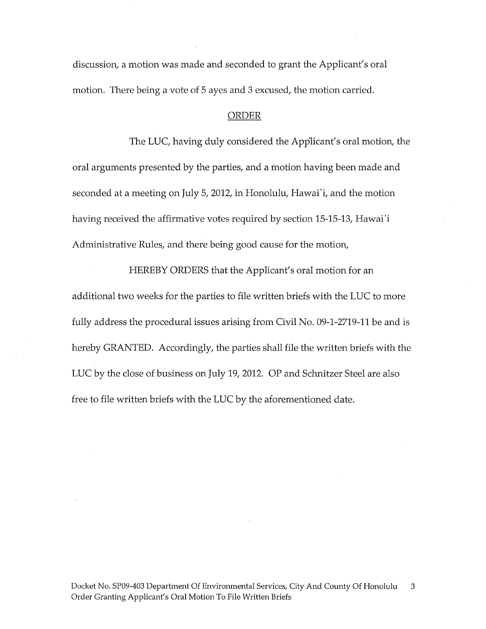discussion, a motion was made and seconded to grant the Applicant's oral motion. There being a vote of 5 ayes and 3 excused, the motion carried.

#### ORDER

The LUC, having duly considered the Applicant's oral motion, the oral arguments presented by the parties, and a motion having been made and seconded at a meeting on July 5, 2012, in Honolulu, Hawai'i, and the motion having received the affirmative votes required by section 15-15-13, Hawai'i Administrative Rules, and there being good cause for the motion,

HEREBY ORDERS that the Applicant's oral motion for an additional two weeks for the parties to file written briefs with the LUC to more fully address the procedural issues arising from Civil No. 09-1-2719-11 be and is hereby GRANTED. Accordingly, the parties shall file the written briefs with the LUC by the close of business on July 19, 2012. OP and Schnitzer Steel are also free to file written briefs with the LUC by the aforementioned date.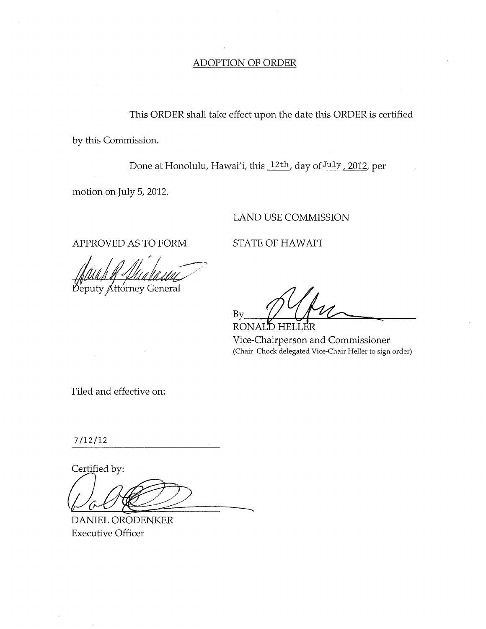### **ADOPTION OF ORDER**

This ORDER shall take effect upon the date this ORDER is certified by this Commission.

Done at Honolulu, Hawai'i, this 12th, day of July, 2012, per

motion on July 5, 2012.

### **LAND USE COMMISSION**

APPROVED AS TO FORM

STATE OF HAWAI'I

Deputy Attorney General

By HELLER **RONAI** 

Vice-Chairperson and Commissioner (Chair Chock delegated Vice-Chair Heller to sign order)

Filed and effective on:

 $7/12/12$ 

Certified by:

DANIEL ORODENKER **Executive Officer**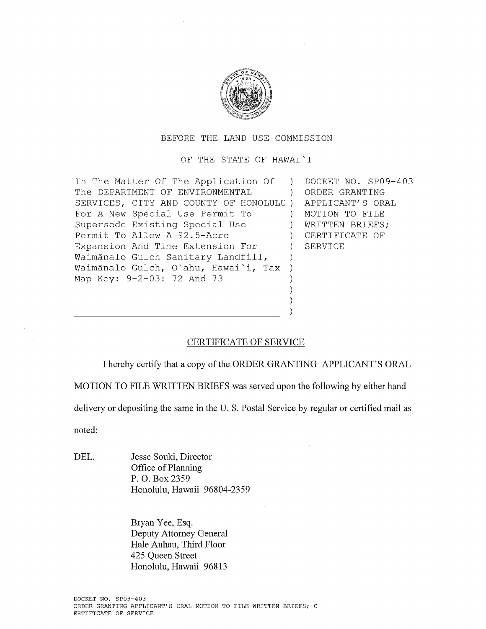

#### BEFORE THE LAND USE COMMISSION

OF THE STATE OF HAWAI'I

In The Matter Of The Application Of ) DOCKET NO. SP09-403 The DEPARTMENT OF ENVIRONMENTAL ) ORDER GRANTING SERVICES, CITY AND COUNTY OF HONOLULU ) APPLICANT'S ORAL For A New Special Use Permit To (a) MOTION TO FILE Supersede Existing Special Use (a) WRITTEN BRIEFS; Permit To Allow A 92.5-Acre ) CERTIFICATE OF Expansion And Time Extension For ) SERVICE Waimānalo Gulch Sanitary Landfill, ) Waimanalo Gulch, O'ahu, Hawai'i, Tax ) Map Key: 9-2-03: 72 And 73 )

### CERTIFICATE OF SERVICE

I hereby certify that a copy of the ORDER GRANTING APPLICANT'S ORAL

) )

MOTION TO FILE WRITTEN BRIEFS was served upon the following by either hand

delivery or depositing the same in the U. S. Postal Service by regular or certified mail as

noted:

DEL. Jesse Souki, Director Office of Planning P. O. Box 2359 Honolulu, Hawaii 96804-2359

> Bryan Yee, Esq. Deputy Attorney General Hale Auhau, Third Floor 425 Queen Street Honolulu, Hawaii 96813